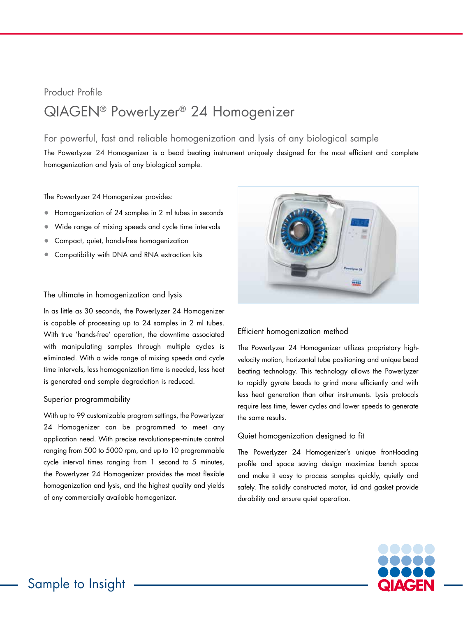# Product Profile QIAGEN® PowerLyzer® 24 Homogenizer

## For powerful, fast and reliable homogenization and lysis of any biological sample

The PowerLyzer 24 Homogenizer is a bead beating instrument uniquely designed for the most efficient and complete homogenization and lysis of any biological sample.

The PowerLyzer 24 Homogenizer provides:

- Homogenization of 24 samples in 2 ml tubes in seconds
- Wide range of mixing speeds and cycle time intervals
- Compact, quiet, hands-free homogenization
- Compatibility with DNA and RNA extraction kits

#### The ultimate in homogenization and lysis

In as little as 30 seconds, the PowerLyzer 24 Homogenizer is capable of processing up to 24 samples in 2 ml tubes. With true 'hands-free' operation, the downtime associated with manipulating samples through multiple cycles is eliminated. With a wide range of mixing speeds and cycle time intervals, less homogenization time is needed, less heat is generated and sample degradation is reduced.

#### Superior programmability

With up to 99 customizable program settings, the PowerLyzer 24 Homogenizer can be programmed to meet any application need. With precise revolutions-per-minute control ranging from 500 to 5000 rpm, and up to 10 programmable cycle interval times ranging from 1 second to 5 minutes, the PowerLyzer 24 Homogenizer provides the most flexible homogenization and lysis, and the highest quality and yields of any commercially available homogenizer.



#### Efficient homogenization method

The PowerLyzer 24 Homogenizer utilizes proprietary highvelocity motion, horizontal tube positioning and unique bead beating technology. This technology allows the PowerLyzer to rapidly gyrate beads to grind more efficiently and with less heat generation than other instruments. Lysis protocols require less time, fewer cycles and lower speeds to generate the same results.

#### Quiet homogenization designed to fit

The PowerLyzer 24 Homogenizer's unique front-loading profile and space saving design maximize bench space and make it easy to process samples quickly, quietly and safely. The solidly constructed motor, lid and gasket provide durability and ensure quiet operation.